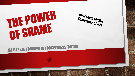

Wisconsin FACETS September 1, 2021

## **TIM MARKLE, FOUNDER OF FORGIVENESS FACTOR**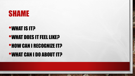

#### •WHAT IS IT?

## •WHAT DOES IT FEEL LIKE?

#### •HOW CAN I RECOGNIZE IT?

#### •WHAT CAN I DO ABOUT IT?

鑑

**WAC 18** 

 $L_{\rm{1.1}}$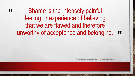#### " Shame is the intensely painful feeling or experience of believing that we are flawed and therefore unworthy of acceptance and belonging.

"

Brene Brown, I thought it was Just Me (But it wasn't)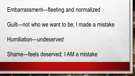#### Embarrassment—fleeting and normalized

#### Guilt—not who we want to be; I made a mistake

#### Humiliation—undeserved

#### Shame—feels deserved; I AM a mistake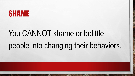### SHAME

# You CANNOT shame or belittle people into changing their behaviors.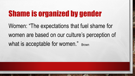## Shame is organized by gender

Women: "The expectations that fuel shame for women are based on our culture's perception of what is acceptable for women." Brown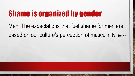## Shame is organized by gender

Men: The expectations that fuel shame for men are based on our culture's perception of masculinity. Brown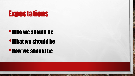## **Expectations**

#### •Who we should be

### •What we should be

#### •How we should be

A. B.

 $\frac{1}{2}$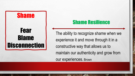#### Shame

### Fear Blame **Disconnection**

#### Shame Resilience

The ability to recognize shame when we experience it and move through it in a constructive way that allows us to maintain our authenticity and grow from our experiences. Brown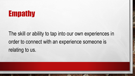

The skill or ability to tap into our own experiences in order to connect with an experience someone is relating to us.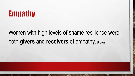

### Women with high levels of shame resilience were both **givers** and **receivers** of empathy. Brown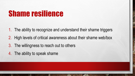## Shame resilience

- 1. The ability to recognize and understand their shame triggers
- 2. High levels of critical awareness about their shame web/box
- 3. The willingness to reach out to others
- 4. The ability to speak shame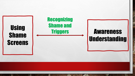

**WOLF** 

 $\mathcal{L}_{\mathcal{L}}$ 

 $\label{eq:1} \mathcal{L}_{\alpha}(\mathcal{L})$ 

靏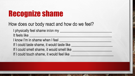## Recognize shame

#### How does our body react and how do we feel?

I physically feel shame in/on my It feels like I know I'm in shame when I feel **with any set of the set of the set of the set of the set of the set of the set o** If I could taste shame, it would taste like If I could smell shame, it would smell like If I could touch shame, it would feel like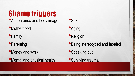Shame triggers

- Appearance and body image
- •Motherhood
- **•Family**

 $\mathbb{R}^n$ 

- **•Parenting**
- •Money and work
- •Mental and physical health

A. Ste





#### **•Religion**

- •Being stereotyped and labeled
- •Speaking out
- **•Surviving trauma**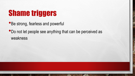## Shame triggers

 $\mathcal{L}_{\text{c}}$ 

 $\frac{1}{2}$ 

- Be strong, fearless and powerful
- •Do not let people see anything that can be perceived as weakness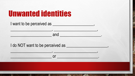| <b>Unwanted identities</b> |  |  |
|----------------------------|--|--|
|                            |  |  |

| I do NOT want to be perceived as ______                                                                                     |  |
|-----------------------------------------------------------------------------------------------------------------------------|--|
| <u> 1989 - John Stein, mars and de Brandenberg and de Brandenberg and de Brandenberg and de Brandenberg and de Br</u><br>or |  |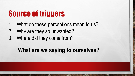## Source of triggers

- 1. What do these perceptions mean to us?
- 2. Why are they so unwanted?
- 3. Where did they come from?

### **What are we saying to ourselves?**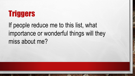## Triggers

If people reduce me to this list, what importance or wonderful things will they miss about me?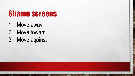## Shame screens

- 1. Move away
- 2. Move toward
- 3. Move against

 $\mathbb{A}_n$ 

 $\frac{1}{2}$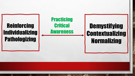### Reinforcing Individualizing Pathologizing

 $\mathcal{L}$ 

 $E_{\rm{1.12}}$ 

**Practicing Critical** Awareness

### **Demystifying** Contextualizing Normalizing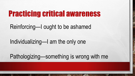### Practicing critical awareness

#### Reinforcing—I ought to be ashamed

### Individualizing—I am the only one

Pathologizing—something is wrong with me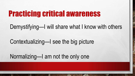### Practicing critical awareness

#### Demystifying—I will share what I know with others

#### Contextualizing—I see the big picture

Normalizing—I am not the only one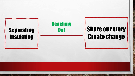

₩.

 $\mathbb{A}_n$ 

 $\mathcal{L}$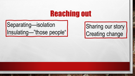### Reaching out

Separating—isolation Insulating—"those people"

A. Ste

Sharing our story Creating change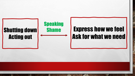

 $f_{\alpha}$ 

 $\frac{1}{2}$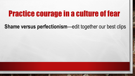### Practice courage in a culture of fear

#### **Shame versus perfectionism**—edit together our best clips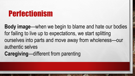## Perfectionism

**Body image**—when we begin to blame and hate our bodies for failing to live up to expectations, we start splitting ourselves into parts and move away from wholeness—our authentic selves **Caregiving**—different from parenting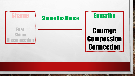

张

 $\label{eq:1} \mathcal{L}_{\alpha}(\mathcal{L})$ 

鑑

**大学生的人不好的人类**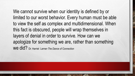We cannot survive when our identity is defined by or limited to our worst behavior. Every human must be able to view the self as complex and multidimensional. When this fact is obscured, people will wrap themselves in layers of denial in order to survive. How can we apologize for something we are, rather than something we did? Dr. Harriet Lerner-*The Dance of Connection*